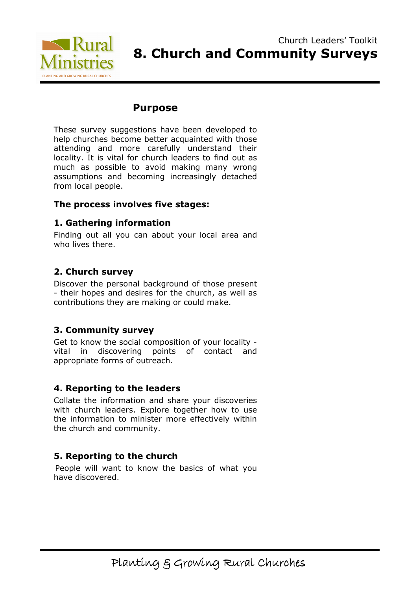

## Purpose

These survey suggestions have been developed to help churches become better acquainted with those attending and more carefully understand their locality. It is vital for church leaders to find out as much as possible to avoid making many wrong assumptions and becoming increasingly detached from local people.

## The process involves five stages:

## 1. Gathering information

Finding out all you can about your local area and who lives there.

## 2. Church survey

Discover the personal background of those present - their hopes and desires for the church, as well as contributions they are making or could make.

## 3. Community survey

Get to know the social composition of your locality vital in discovering points of contact and appropriate forms of outreach.

## 4. Reporting to the leaders

Collate the information and share your discoveries with church leaders. Explore together how to use the information to minister more effectively within the church and community.

## 5. Reporting to the church

People will want to know the basics of what you have discovered.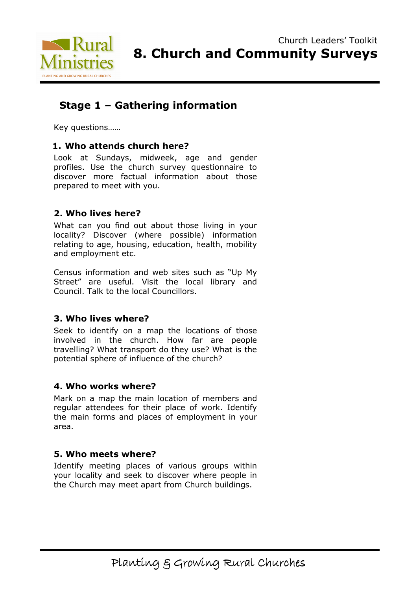

# Stage 1 – Gathering information

Key questions……

## 1. Who attends church here?

Look at Sundays, midweek, age and gender profiles. Use the church survey questionnaire to discover more factual information about those prepared to meet with you.

## 2. Who lives here?

What can you find out about those living in your locality? Discover (where possible) information relating to age, housing, education, health, mobility and employment etc.

Census information and web sites such as "Up My Street" are useful. Visit the local library and Council. Talk to the local Councillors.

## 3. Who lives where?

Seek to identify on a map the locations of those involved in the church. How far are people travelling? What transport do they use? What is the potential sphere of influence of the church?

## 4. Who works where?

Mark on a map the main location of members and regular attendees for their place of work. Identify the main forms and places of employment in your area.

## 5. Who meets where?

Identify meeting places of various groups within your locality and seek to discover where people in the Church may meet apart from Church buildings.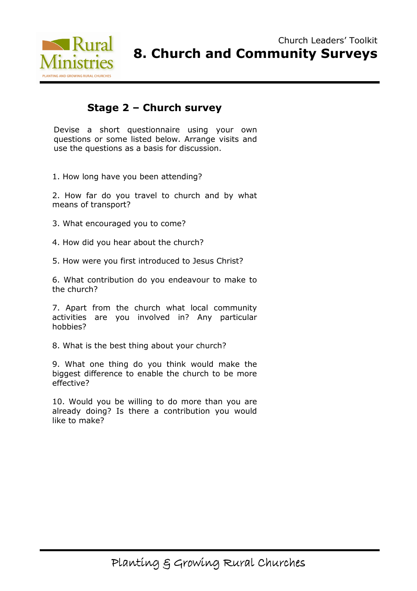

## Stage 2 – Church survey

Devise a short questionnaire using your own questions or some listed below. Arrange visits and use the questions as a basis for discussion.

1. How long have you been attending?

2. How far do you travel to church and by what means of transport?

- 3. What encouraged you to come?
- 4. How did you hear about the church?
- 5. How were you first introduced to Jesus Christ?

6. What contribution do you endeavour to make to the church?

7. Apart from the church what local community activities are you involved in? Any particular hobbies?

8. What is the best thing about your church?

9. What one thing do you think would make the biggest difference to enable the church to be more effective?

10. Would you be willing to do more than you are already doing? Is there a contribution you would like to make?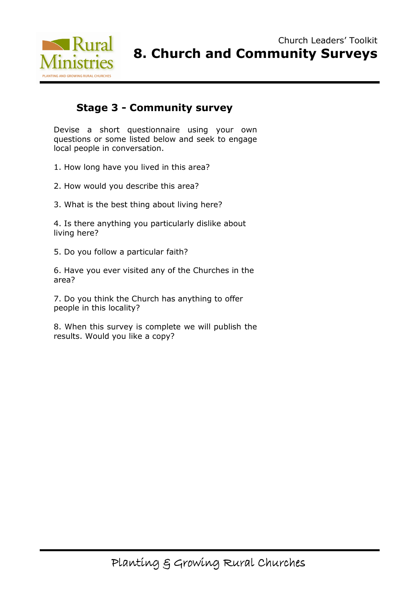

# Stage 3 - Community survey

Devise a short questionnaire using your own questions or some listed below and seek to engage local people in conversation.

1. How long have you lived in this area?

2. How would you describe this area?

3. What is the best thing about living here?

4. Is there anything you particularly dislike about living here?

5. Do you follow a particular faith?

6. Have you ever visited any of the Churches in the area?

7. Do you think the Church has anything to offer people in this locality?

8. When this survey is complete we will publish the results. Would you like a copy?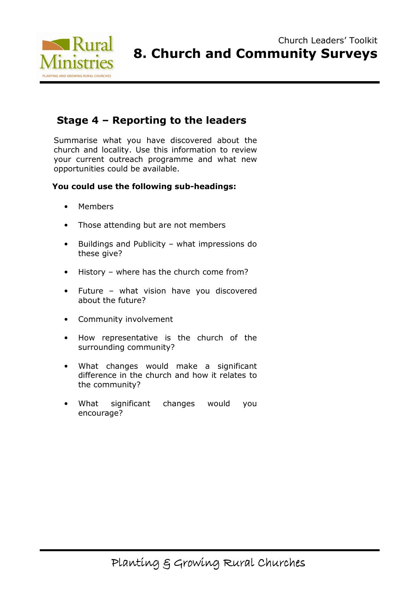

# Stage 4 – Reporting to the leaders

Summarise what you have discovered about the church and locality. Use this information to review your current outreach programme and what new opportunities could be available.

#### You could use the following sub-headings:

- Members
- Those attending but are not members
- Buildings and Publicity what impressions do these give?
- History where has the church come from?
- Future what vision have you discovered about the future?
- Community involvement
- How representative is the church of the surrounding community?
- What changes would make a significant difference in the church and how it relates to the community?
- What significant changes would you encourage?